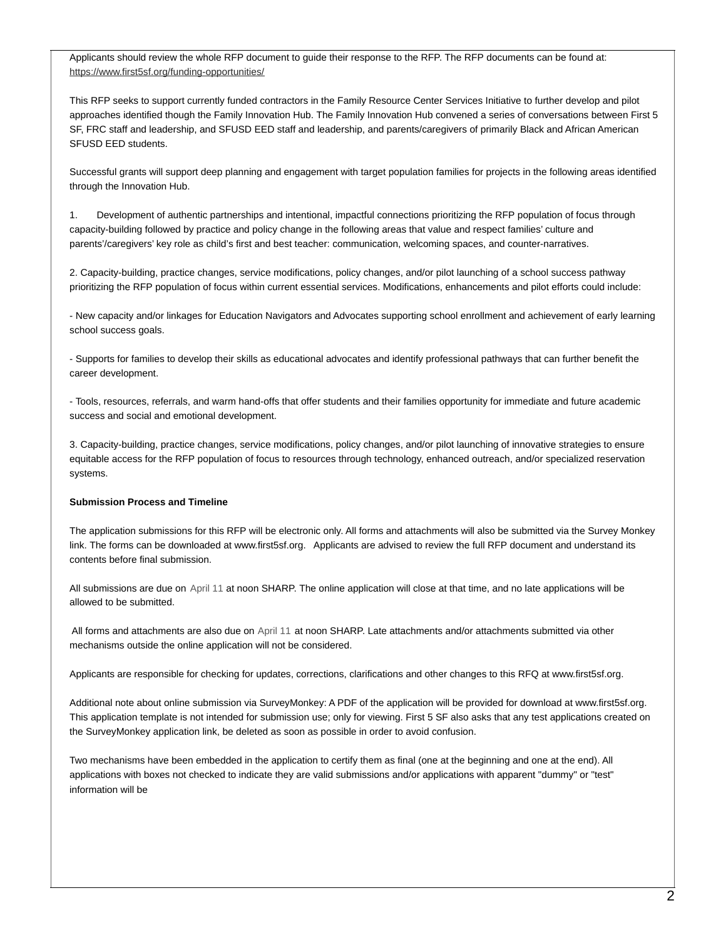Applicants should review the whole RFP document to guide their response to the RFP. The RFP documents can be found at: <https://www.first5sf.org/funding-opportunities/>

This RFP seeks to support currently funded contractors in the Family Resource Center Services Initiative to further develop and pilot approaches identified though the Family Innovation Hub. The Family Innovation Hub convened a series of conversations between First 5 SF, FRC staff and leadership, and SFUSD EED staff and leadership, and parents/caregivers of primarily Black and African American SFUSD EED students.

Successful grants will support deep planning and engagement with target population families for projects in the following areas identified through the Innovation Hub.

1. Development of authentic partnerships and intentional, impactful connections prioritizing the RFP population of focus through capacity-building followed by practice and policy change in the following areas that value and respect families' culture and parents'/caregivers' key role as child's first and best teacher: communication, welcoming spaces, and counter-narratives.

2. Capacity-building, practice changes, service modifications, policy changes, and/or pilot launching of a school success pathway prioritizing the RFP population of focus within current essential services. Modifications, enhancements and pilot efforts could include:

- New capacity and/or linkages for Education Navigators and Advocates supporting school enrollment and achievement of early learning school success goals.

- Supports for families to develop their skills as educational advocates and identify professional pathways that can further benefit the career development.

- Tools, resources, referrals, and warm hand-offs that offer students and their families opportunity for immediate and future academic success and social and emotional development.

3. Capacity-building, practice changes, service modifications, policy changes, and/or pilot launching of innovative strategies to ensure equitable access for the RFP population of focus to resources through technology, enhanced outreach, and/or specialized reservation systems.

### **Submission Process and Timeline**

The application submissions for this RFP will be electronic only. All forms and attachments will also be submitted via the Survey Monkey link. The forms can be downloaded at www.first5sf.org. Applicants are advised to review the full RFP document and understand its contents before final submission.

All submissions are due on April 11 at noon SHARP. The online application will close at that time, and no late applications will be allowed to be submitted.

All forms and attachments are also due on April 11 at noon SHARP. Late attachments and/or attachments submitted via other mechanisms outside the online application will not be considered.

Applicants are responsible for checking for updates, corrections, clarifications and other changes to this RFQ at www.first5sf.org.

Additional note about online submission via SurveyMonkey: A PDF of the application will be provided for download at www.first5sf.org. This application template is not intended for submission use; only for viewing. First 5 SF also asks that any test applications created on the SurveyMonkey application link, be deleted as soon as possible in order to avoid confusion.

Two mechanisms have been embedded in the application to certify them as final (one at the beginning and one at the end). All applications with boxes not checked to indicate they are valid submissions and/or applications with apparent "dummy" or "test" information will be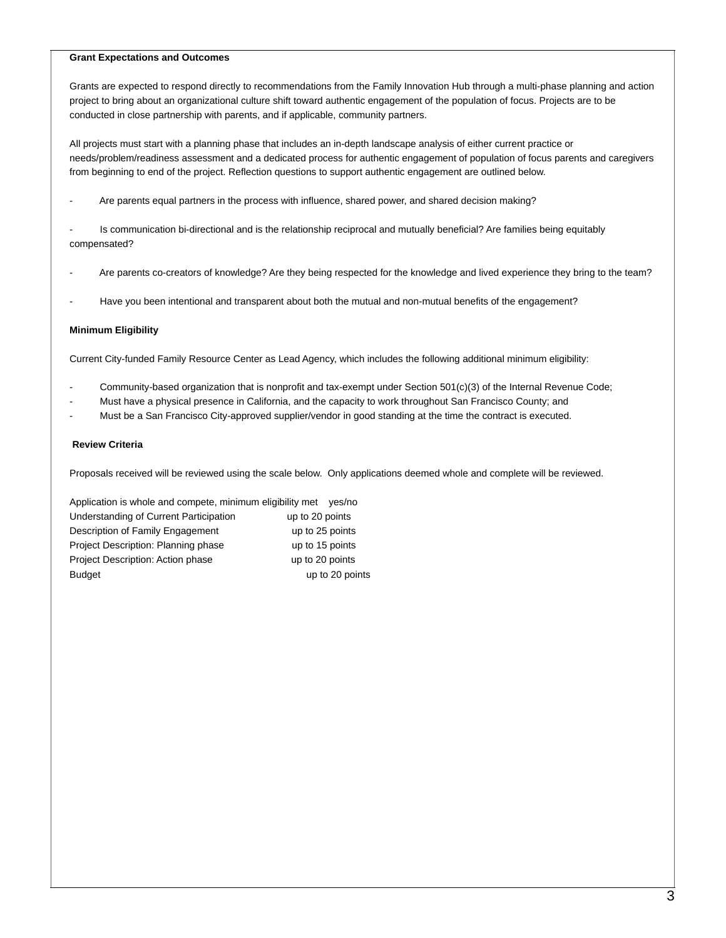#### **Grant Expectations and Outcomes**

Grants are expected to respond directly to recommendations from the Family Innovation Hub through a multi-phase planning and action project to bring about an organizational culture shift toward authentic engagement of the population of focus. Projects are to be conducted in close partnership with parents, and if applicable, community partners.

All projects must start with a planning phase that includes an in-depth landscape analysis of either current practice or needs/problem/readiness assessment and a dedicated process for authentic engagement of population of focus parents and caregivers from beginning to end of the project. Reflection questions to support authentic engagement are outlined below.

Are parents equal partners in the process with influence, shared power, and shared decision making?

Is communication bi-directional and is the relationship reciprocal and mutually beneficial? Are families being equitably compensated?

- Are parents co-creators of knowledge? Are they being respected for the knowledge and lived experience they bring to the team?
- Have you been intentional and transparent about both the mutual and non-mutual benefits of the engagement?

### **Minimum Eligibility**

Current City-funded Family Resource Center as Lead Agency, which includes the following additional minimum eligibility:

- Community-based organization that is nonprofit and tax-exempt under Section 501(c)(3) of the Internal Revenue Code;
- Must have a physical presence in California, and the capacity to work throughout San Francisco County; and
- Must be a San Francisco City-approved supplier/vendor in good standing at the time the contract is executed.

### **Review Criteria**

Proposals received will be reviewed using the scale below. Only applications deemed whole and complete will be reviewed.

Application is whole and compete, minimum eligibility met yes/no Understanding of Current Participation up to 20 points Description of Family Engagement up to 25 points Project Description: Planning phase up to 15 points Project Description: Action phase up to 20 points Budget Up to 20 points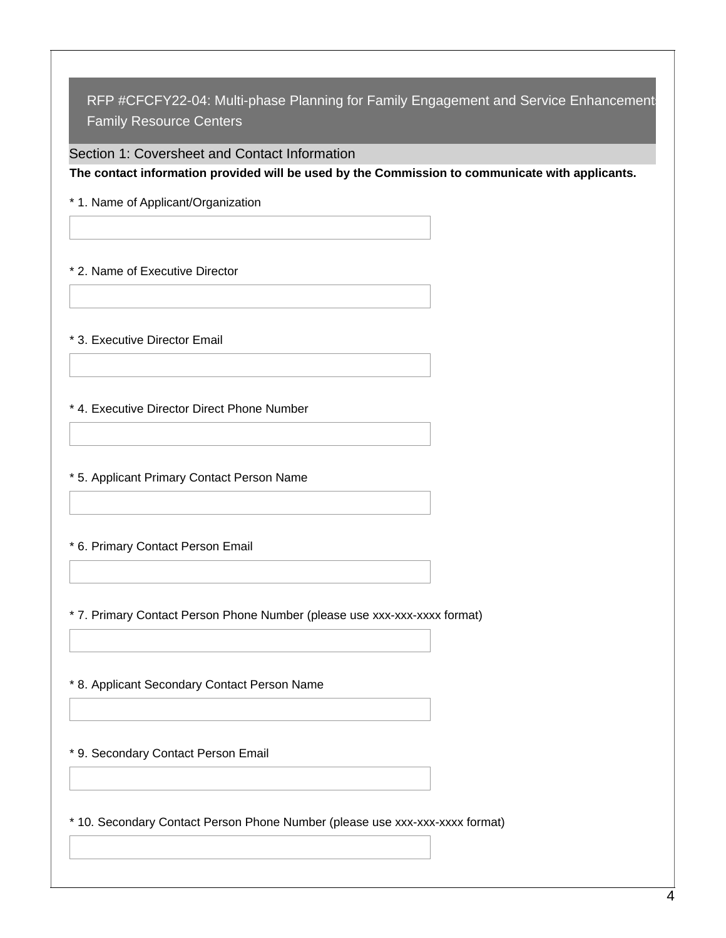Section 1: Coversheet and Contact Information

**The contact information provided will be used by the Commission to communicate with applicants.**

\* 1. Name of Applicant/Organization

\* 2. Name of Executive Director

\* 3. Executive Director Email

\* 4. Executive Director Direct Phone Number

\* 5. Applicant Primary Contact Person Name

\* 6. Primary Contact Person Email

\* 7. Primary Contact Person Phone Number (please use xxx-xxx-xxxx format)

\* 8. Applicant Secondary Contact Person Name

\* 9. Secondary Contact Person Email

\* 10. Secondary Contact Person Phone Number (please use xxx-xxx-xxxx format)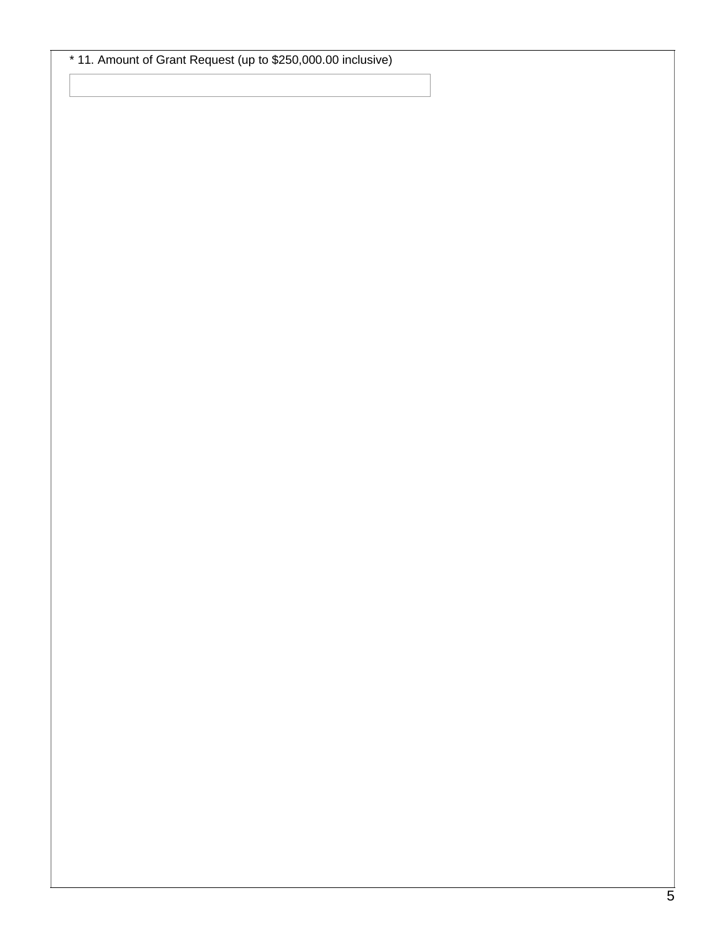\* 11. Amount of Grant Request (up to \$250,000.00 inclusive)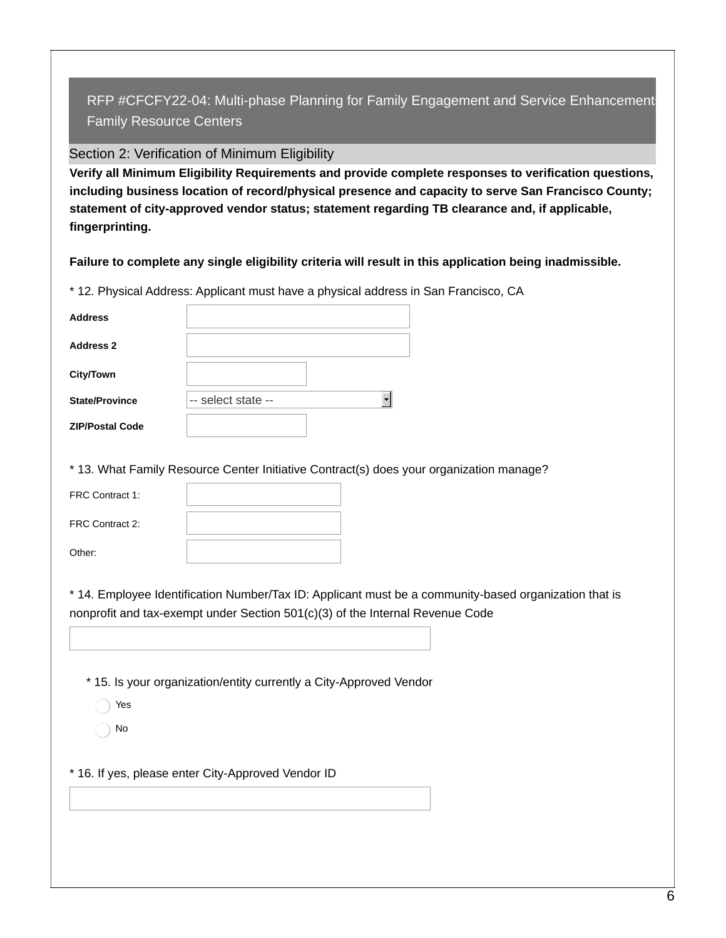# Section 2: Verification of Minimum Eligibility

**Verify all Minimum Eligibility Requirements and provide complete responses to verification questions, including business location of record/physical presence and capacity to serve San Francisco County; statement of city-approved vendor status; statement regarding TB clearance and, if applicable, fingerprinting.**

**Failure to complete any single eligibility criteria will result in this application being inadmissible.**

\* 12. Physical Address: Applicant must have a physical address in San Francisco, CA

| <b>Address</b>         |                    |  |
|------------------------|--------------------|--|
| <b>Address 2</b>       |                    |  |
| <b>City/Town</b>       |                    |  |
| <b>State/Province</b>  | -- select state -- |  |
| <b>ZIP/Postal Code</b> |                    |  |

\* 13. What Family Resource Center Initiative Contract(s) does your organization manage?

| FRC Contract 1: |  |
|-----------------|--|
| FRC Contract 2: |  |
| Other:          |  |

\* 14. Employee Identification Number/Tax ID: Applicant must be a community-based organization that is nonprofit and tax-exempt under Section 501(c)(3) of the Internal Revenue Code

\* 15. Is your organization/entity currently a City-Approved Vendor

- Yes
- No

\* 16. If yes, please enter City-Approved Vendor ID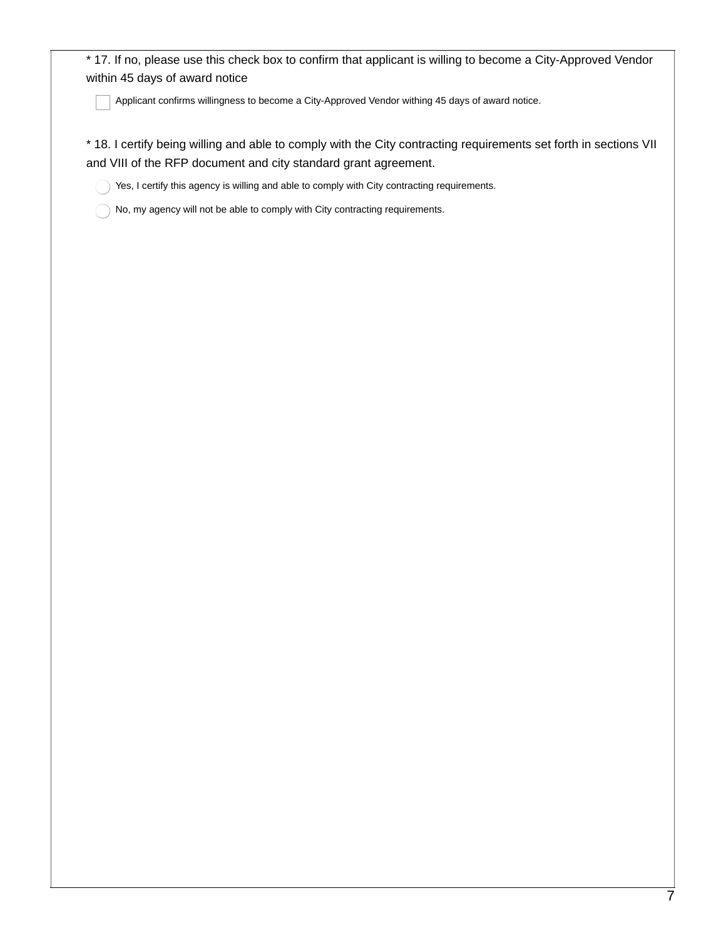\* 17. If no, please use this check box to confirm that applicant is willing to become a City-Approved Vendor within 45 days of award notice

Applicant confirms willingness to become a City-Approved Vendor withing 45 days of award notice.

\* 18. I certify being willing and able to comply with the City contracting requirements set forth in sections VII and VIII of the RFP document and city standard grant agreement.

Yes, I certify this agency is willing and able to comply with City contracting requirements.

No, my agency will not be able to comply with City contracting requirements.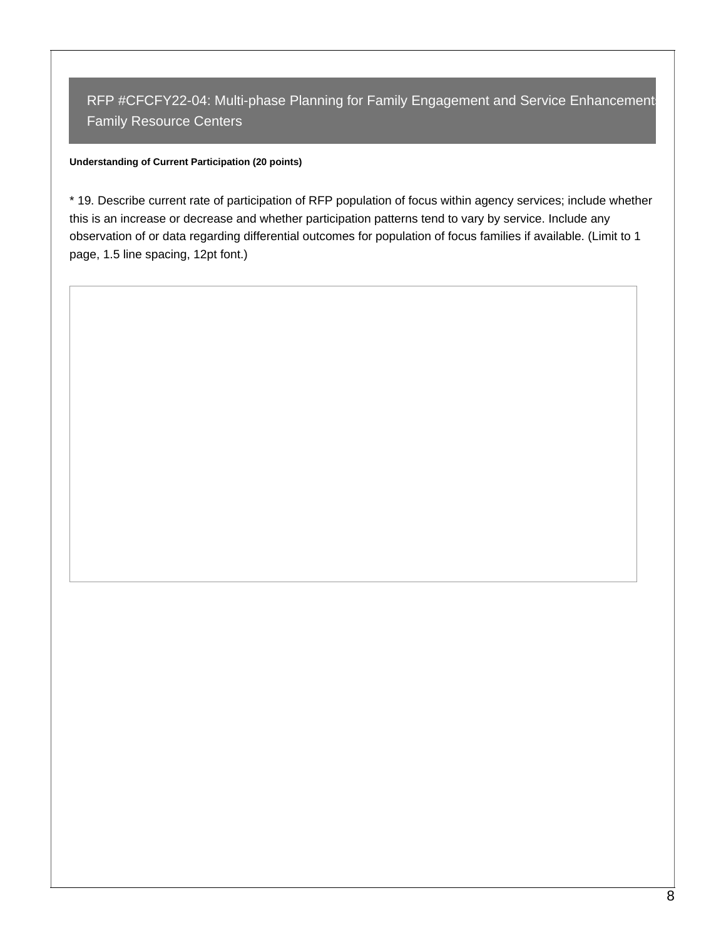## **Understanding of Current Participation (20 points)**

\* 19. Describe current rate of participation of RFP population of focus within agency services; include whether this is an increase or decrease and whether participation patterns tend to vary by service. Include any observation of or data regarding differential outcomes for population of focus families if available. (Limit to 1 page, 1.5 line spacing, 12pt font.)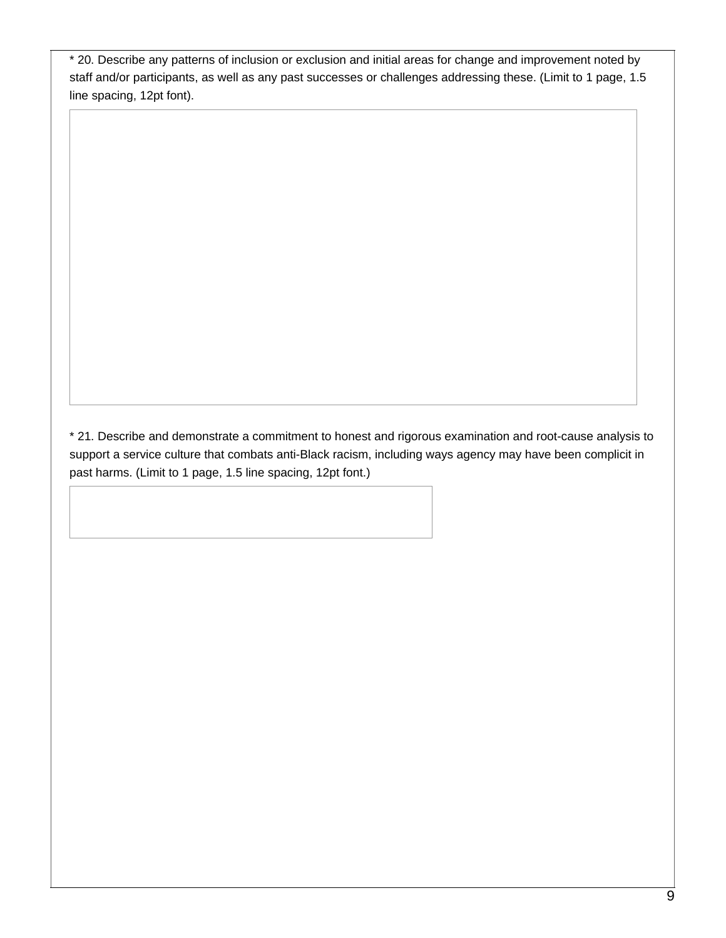\* 20. Describe any patterns of inclusion or exclusion and initial areas for change and improvement noted by staff and/or participants, as well as any past successes or challenges addressing these. (Limit to 1 page, 1.5 line spacing, 12pt font).

\* 21. Describe and demonstrate a commitment to honest and rigorous examination and root-cause analysis to support a service culture that combats anti-Black racism, including ways agency may have been complicit in past harms. (Limit to 1 page, 1.5 line spacing, 12pt font.)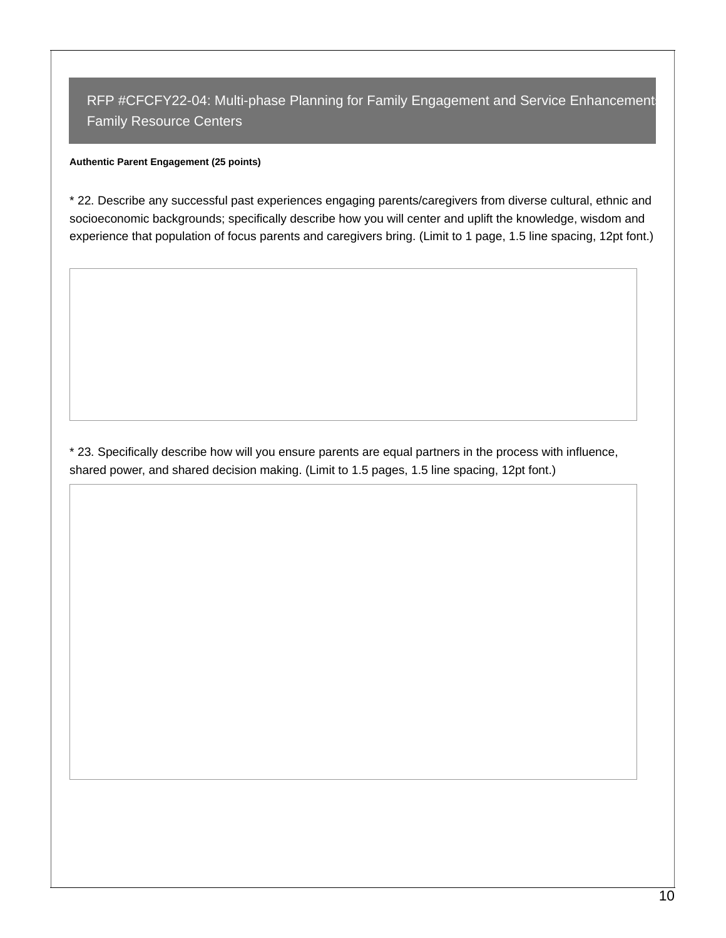### **Authentic Parent Engagement (25 points)**

\* 22. Describe any successful past experiences engaging parents/caregivers from diverse cultural, ethnic and socioeconomic backgrounds; specifically describe how you will center and uplift the knowledge, wisdom and experience that population of focus parents and caregivers bring. (Limit to 1 page, 1.5 line spacing, 12pt font.)

\* 23. Specifically describe how will you ensure parents are equal partners in the process with influence, shared power, and shared decision making. (Limit to 1.5 pages, 1.5 line spacing, 12pt font.)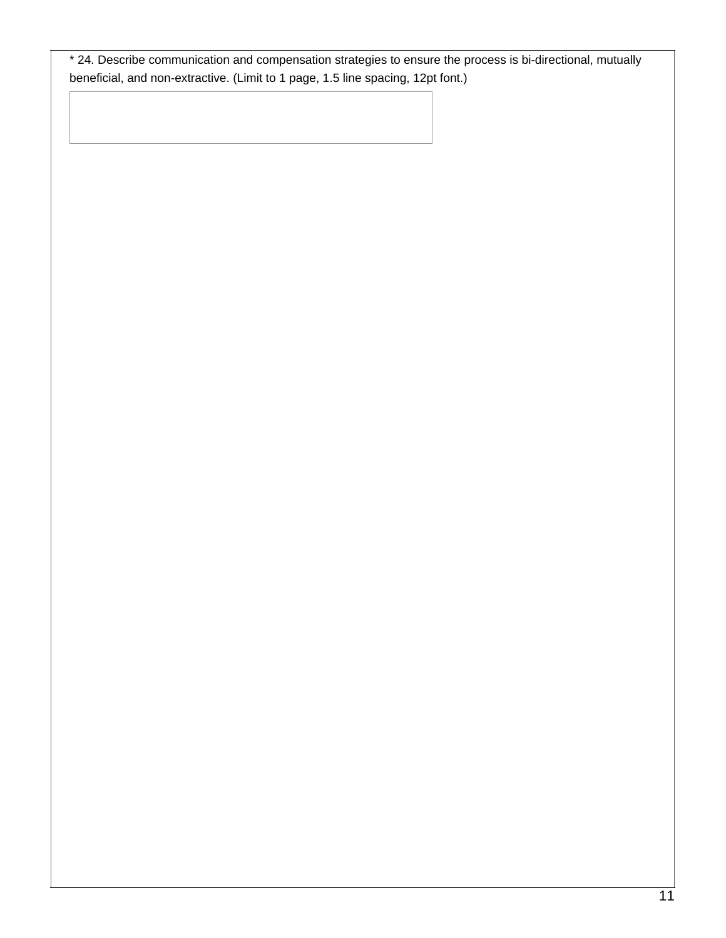\* 24. Describe communication and compensation strategies to ensure the process is bi-directional, mutually beneficial, and non-extractive. (Limit to 1 page, 1.5 line spacing, 12pt font.)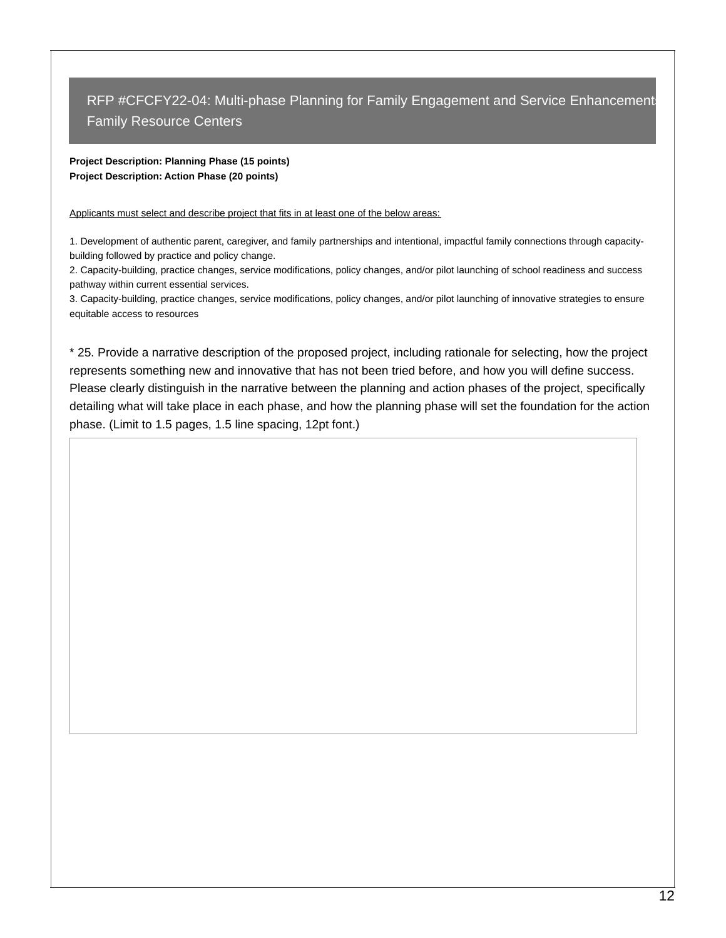### **Project Description: Planning Phase (15 points) Project Description: Action Phase (20 points)**

Applicants must select and describe project that fits in at least one of the below areas:

1. Development of authentic parent, caregiver, and family partnerships and intentional, impactful family connections through capacitybuilding followed by practice and policy change.

2. Capacity-building, practice changes, service modifications, policy changes, and/or pilot launching of school readiness and success pathway within current essential services.

3. Capacity-building, practice changes, service modifications, policy changes, and/or pilot launching of innovative strategies to ensure equitable access to resources

\* 25. Provide a narrative description of the proposed project, including rationale for selecting, how the project represents something new and innovative that has not been tried before, and how you will define success. Please clearly distinguish in the narrative between the planning and action phases of the project, specifically detailing what will take place in each phase, and how the planning phase will set the foundation for the action phase. (Limit to 1.5 pages, 1.5 line spacing, 12pt font.)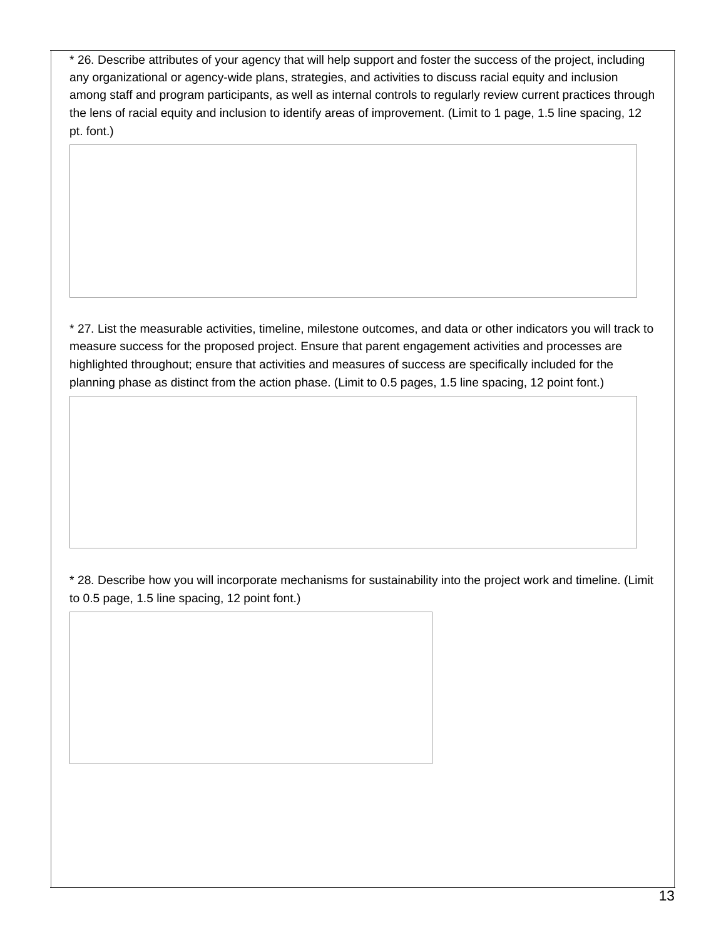\* 26. Describe attributes of your agency that will help support and foster the success of the project, including any organizational or agency-wide plans, strategies, and activities to discuss racial equity and inclusion among staff and program participants, as well as internal controls to regularly review current practices through the lens of racial equity and inclusion to identify areas of improvement. (Limit to 1 page, 1.5 line spacing, 12 pt. font.)

\* 27. List the measurable activities, timeline, milestone outcomes, and data or other indicators you will track to measure success for the proposed project. Ensure that parent engagement activities and processes are highlighted throughout; ensure that activities and measures of success are specifically included for the planning phase as distinct from the action phase. (Limit to 0.5 pages, 1.5 line spacing, 12 point font.)

\* 28. Describe how you will incorporate mechanisms for sustainability into the project work and timeline. (Limit to 0.5 page, 1.5 line spacing, 12 point font.)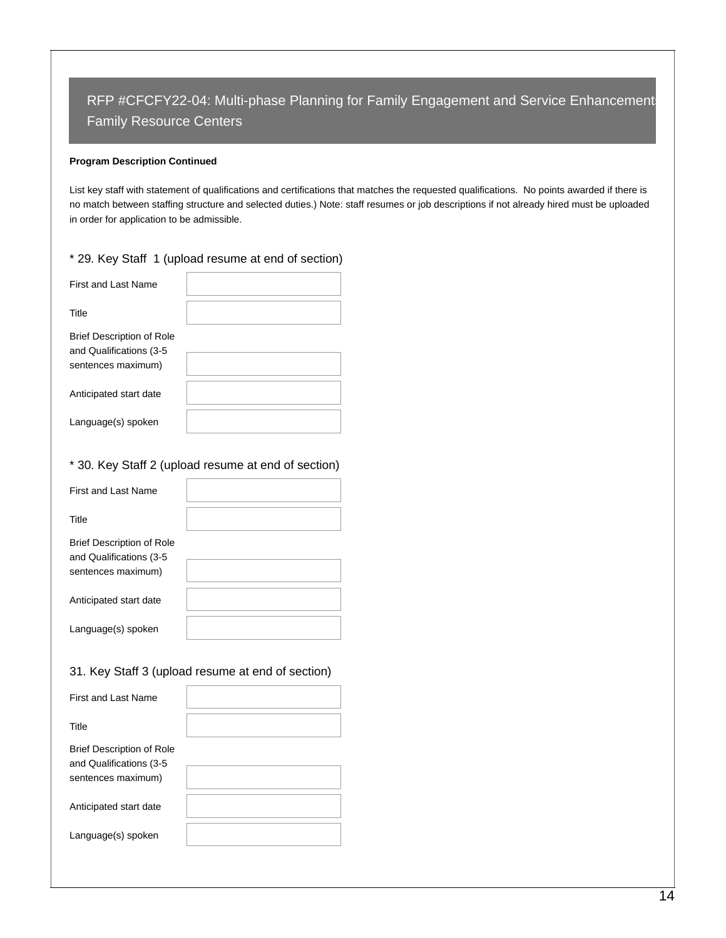### **Program Description Continued**

List key staff with statement of qualifications and certifications that matches the requested qualifications. No points awarded if there is no match between staffing structure and selected duties.) Note: staff resumes or job descriptions if not already hired must be uploaded in order for application to be admissible.

## \* 29. Key Staff 1 (upload resume at end of section)

| <b>First and Last Name</b>                                                         |  |
|------------------------------------------------------------------------------------|--|
| Title                                                                              |  |
| <b>Brief Description of Role</b><br>and Qualifications (3-5)<br>sentences maximum) |  |
| Anticipated start date                                                             |  |
| Language(s) spoken                                                                 |  |

## \* 30. Key Staff 2 (upload resume at end of section)

| First and Last Name                                                                |  |
|------------------------------------------------------------------------------------|--|
| Title                                                                              |  |
| <b>Brief Description of Role</b><br>and Qualifications (3-5)<br>sentences maximum) |  |
| Anticipated start date                                                             |  |
| Language(s) spoken                                                                 |  |

## 31. Key Staff 3 (upload resume at end of section)

| First and Last Name                                                                |  |
|------------------------------------------------------------------------------------|--|
| Title                                                                              |  |
| <b>Brief Description of Role</b><br>and Qualifications (3-5)<br>sentences maximum) |  |
| Anticipated start date                                                             |  |
| Language(s) spoken                                                                 |  |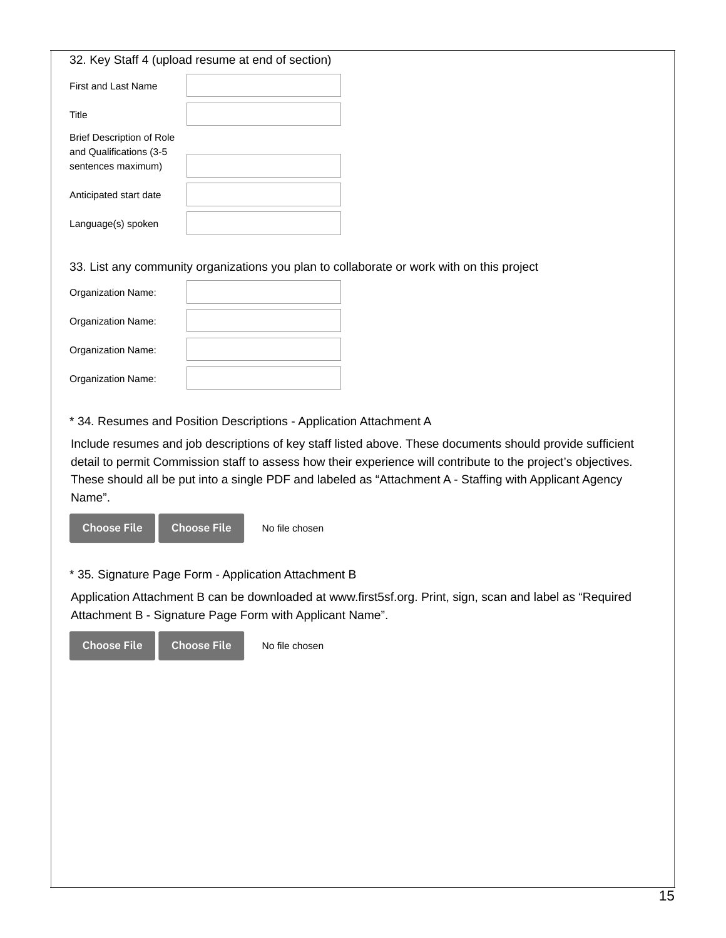| 32. Key Staff 4 (upload resume at end of section)                                 |  |
|-----------------------------------------------------------------------------------|--|
| First and Last Name                                                               |  |
| Title                                                                             |  |
| <b>Brief Description of Role</b><br>and Qualifications (3-5<br>sentences maximum) |  |
| Anticipated start date                                                            |  |
| Language(s) spoken                                                                |  |

33. List any community organizations you plan to collaborate or work with on this project

| Organization Name:        |  |
|---------------------------|--|
| Organization Name:        |  |
| Organization Name:        |  |
| <b>Organization Name:</b> |  |

\* 34. Resumes and Position Descriptions - Application Attachment A

Include resumes and job descriptions of key staff listed above. These documents should provide sufficient detail to permit Commission staff to assess how their experience will contribute to the project's objectives. These should all be put into a single PDF and labeled as "Attachment A - Staffing with Applicant Agency Name".



\* 35. Signature Page Form - Application Attachment B

Application Attachment B can be downloaded at www.first5sf.org. Print, sign, scan and label as "Required Attachment B - Signature Page Form with Applicant Name".

Choose File Choose File

No file chosen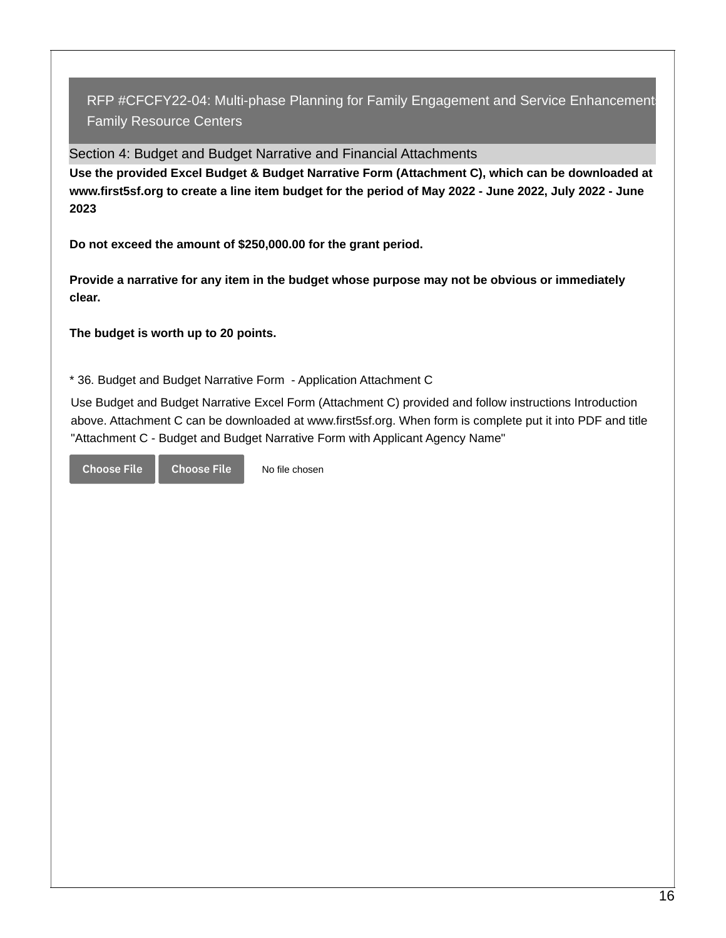Section 4: Budget and Budget Narrative and Financial Attachments

**Use the provided Excel Budget & Budget Narrative Form (Attachment C), which can be downloaded at** www.first5sf.org to create a line item budget for the period of May 2022 - June 2022, July 2022 - June **2023**

**Do not exceed the amount of \$250,000.00 for the grant period.**

**Provide a narrative for any item in the budget whose purpose may not be obvious or immediately clear.**

**The budget is worth up to 20 points.**

\* 36. Budget and Budget Narrative Form - Application Attachment C

No file chosen

Use Budget and Budget Narrative Excel Form (Attachment C) provided and follow instructions Introduction above. Attachment C can be downloaded at www.first5sf.org. When form is complete put it into PDF and title "Attachment C - Budget and Budget Narrative Form with Applicant Agency Name"

Choose File Choose File